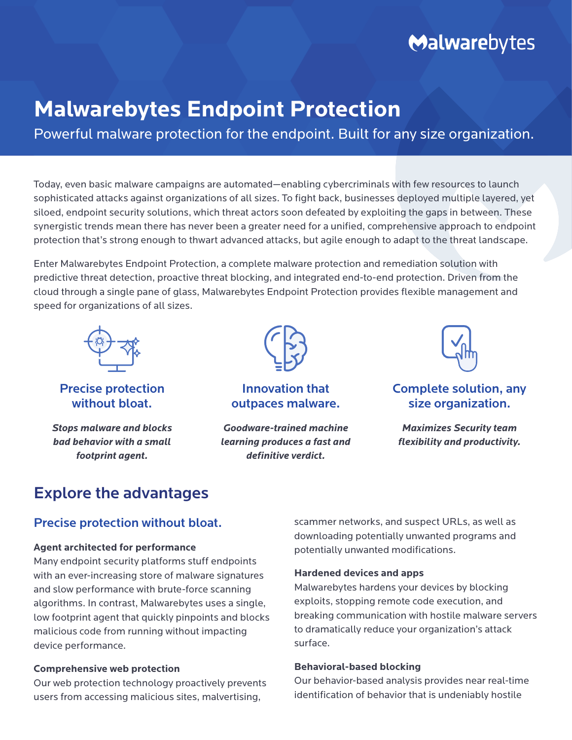# Malwarebytes

## **Malwarebytes Endpoint Protection**

Powerful malware protection for the endpoint. Built for any size organization.

Today, even basic malware campaigns are automated—enabling cybercriminals with few resources to launch sophisticated attacks against organizations of all sizes. To fight back, businesses deployed multiple layered, yet siloed, endpoint security solutions, which threat actors soon defeated by exploiting the gaps in between. These synergistic trends mean there has never been a greater need for a unified, comprehensive approach to endpoint protection that's strong enough to thwart advanced attacks, but agile enough to adapt to the threat landscape.

Enter Malwarebytes Endpoint Protection, a complete malware protection and remediation solution with predictive threat detection, proactive threat blocking, and integrated end-to-end protection. Driven from the cloud through a single pane of glass, Malwarebytes Endpoint Protection provides flexible management and speed for organizations of all sizes.



Precise protection without bloat.

*Stops malware and blocks bad behavior with a small footprint agent.*



Innovation that outpaces malware.

*Goodware-trained machine learning produces a fast and definitive verdict.*



Complete solution, any size organization.

*Maximizes Security team flexibility and productivity.*

## Explore the advantages

## Precise protection without bloat.

#### **Agent architected for performance**

Many endpoint security platforms stuff endpoints with an ever-increasing store of malware signatures and slow performance with brute-force scanning algorithms. In contrast, Malwarebytes uses a single, low footprint agent that quickly pinpoints and blocks malicious code from running without impacting device performance.

#### **Comprehensive web protection**

Our web protection technology proactively prevents users from accessing malicious sites, malvertising,

scammer networks, and suspect URLs, as well as downloading potentially unwanted programs and potentially unwanted modifications.

#### **Hardened devices and apps**

Malwarebytes hardens your devices by blocking exploits, stopping remote code execution, and breaking communication with hostile malware servers to dramatically reduce your organization's attack surface.

#### **Behavioral-based blocking**

Our behavior-based analysis provides near real-time identification of behavior that is undeniably hostile